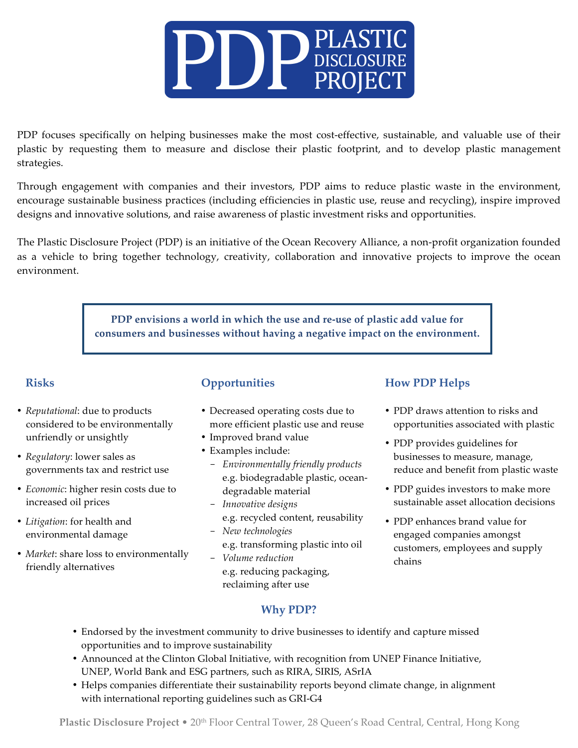

PDP focuses specifically on helping businesses make the most cost-effective, sustainable, and valuable use of their plastic by requesting them to measure and disclose their plastic footprint, and to develop plastic management strategies.

Through engagement with companies and their investors, PDP aims to reduce plastic waste in the environment, encourage sustainable business practices (including efficiencies in plastic use, reuse and recycling), inspire improved designs and innovative solutions, and raise awareness of plastic investment risks and opportunities.

The Plastic Disclosure Project (PDP) is an initiative of the Ocean Recovery Alliance, a non-profit organization founded as a vehicle to bring together technology, creativity, collaboration and innovative projects to improve the ocean environment.

> **PDP envisions a world in which the use and re-use of plastic add value for consumers and businesses without having a negative impact on the environment.**

#### **Risks**

- *Reputational*: due to products considered to be environmentally unfriendly or unsightly
- *Regulatory*: lower sales as governments tax and restrict use
- *Economic*: higher resin costs due to increased oil prices
- *Litigation*: for health and environmental damage
- *Market*: share loss to environmentally friendly alternatives

## **Opportunities**

- Decreased operating costs due to more efficient plastic use and reuse
- Improved brand value
- Examples include:
	- *Environmentally friendly products* e.g. biodegradable plastic, oceandegradable material
	- *Innovative designs* e.g. recycled content, reusability
	- *New technologies* e.g. transforming plastic into oil - *Volume reduction*
		- e.g. reducing packaging, reclaiming after use

## **How PDP Helps**

- PDP draws attention to risks and opportunities associated with plastic
- PDP provides guidelines for businesses to measure, manage, reduce and benefit from plastic waste
- PDP guides investors to make more sustainable asset allocation decisions
- PDP enhances brand value for engaged companies amongst customers, employees and supply chains

# **Why PDP?**

- Endorsed by the investment community to drive businesses to identify and capture missed opportunities and to improve sustainability
- Announced at the Clinton Global Initiative, with recognition from UNEP Finance Initiative, UNEP, World Bank and ESG partners, such as RIRA, SIRIS, ASrIA
- Helps companies differentiate their sustainability reports beyond climate change, in alignment with international reporting guidelines such as GRI-G4